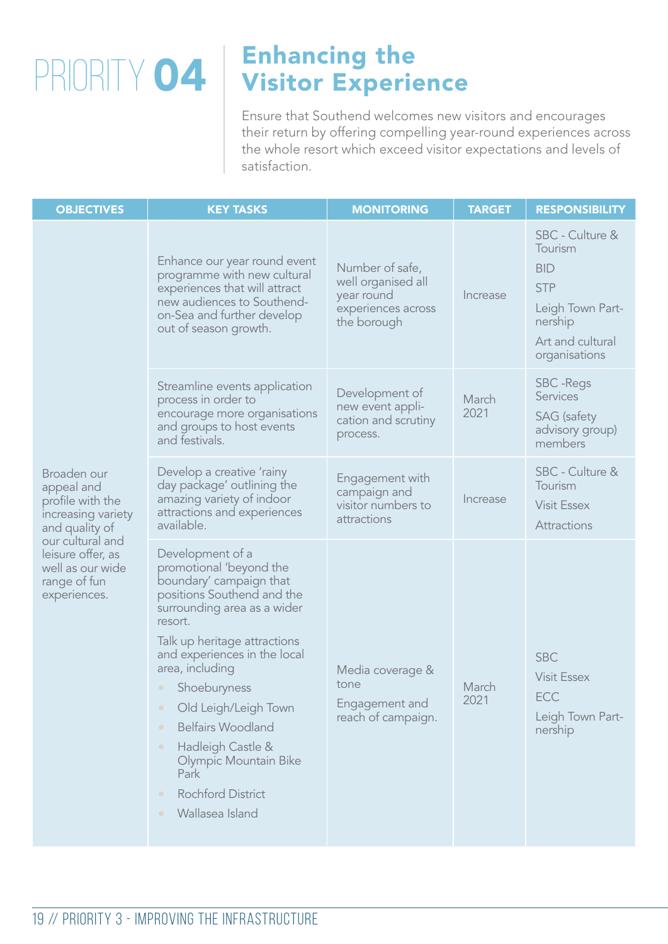## Enhancing the  $\text{PRIORITY} \textbf{04} \mid \text{Visitor Experience}$

Ensure that Southend welcomes new visitors and encourages their return by offering compelling year-round experiences across the whole resort which exceed visitor expectations and levels of satisfaction.

| <b>OBJECTIVES</b>                                                                                                                                                                  | <b>KEY TASKS</b>                                                                                                                                                                                                                                                                                                                                                                                                                                  | <b>MONITORING</b>                                                                        | <b>TARGET</b> | <b>RESPONSIBILITY</b>                                                                                                      |
|------------------------------------------------------------------------------------------------------------------------------------------------------------------------------------|---------------------------------------------------------------------------------------------------------------------------------------------------------------------------------------------------------------------------------------------------------------------------------------------------------------------------------------------------------------------------------------------------------------------------------------------------|------------------------------------------------------------------------------------------|---------------|----------------------------------------------------------------------------------------------------------------------------|
| Broaden our<br>appeal and<br>profile with the<br>increasing variety<br>and quality of<br>our cultural and<br>leisure offer, as<br>well as our wide<br>range of fun<br>experiences. | Enhance our year round event<br>programme with new cultural<br>experiences that will attract<br>new audiences to Southend-<br>on-Sea and further develop<br>out of season growth.                                                                                                                                                                                                                                                                 | Number of safe,<br>well organised all<br>year round<br>experiences across<br>the borough | Increase      | SBC - Culture &<br>Tourism<br><b>BID</b><br><b>STP</b><br>Leigh Town Part-<br>nership<br>Art and cultural<br>organisations |
|                                                                                                                                                                                    | Streamline events application<br>process in order to<br>encourage more organisations<br>and groups to host events<br>and festivals.                                                                                                                                                                                                                                                                                                               | Development of<br>new event appli-<br>cation and scrutiny<br>process.                    | March<br>2021 | <b>SBC</b> - Regs<br><b>Services</b><br><b>SAG</b> (safety<br>advisory group)<br>members                                   |
|                                                                                                                                                                                    | Develop a creative 'rainy<br>day package' outlining the<br>amazing variety of indoor<br>attractions and experiences<br>available.                                                                                                                                                                                                                                                                                                                 | Engagement with<br>campaign and<br>visitor numbers to<br>attractions                     | Increase      | SBC - Culture &<br>Tourism<br><b>Visit Essex</b><br>Attractions                                                            |
|                                                                                                                                                                                    | Development of a<br>promotional 'beyond the<br>boundary' campaign that<br>positions Southend and the<br>surrounding area as a wider<br>resort.<br>Talk up heritage attractions<br>and experiences in the local<br>area, including<br>Shoeburyness<br>Old Leigh/Leigh Town<br><b>Belfairs Woodland</b><br>$\bullet$<br>Hadleigh Castle &<br>$\bullet$<br>Olympic Mountain Bike<br>Park<br><b>Rochford District</b><br>Wallasea Island<br>$\bullet$ | Media coverage &<br>tone<br>Engagement and<br>reach of campaign.                         | March<br>2021 | <b>SBC</b><br><b>Visit Essex</b><br>ECC<br>Leigh Town Part-<br>nership                                                     |